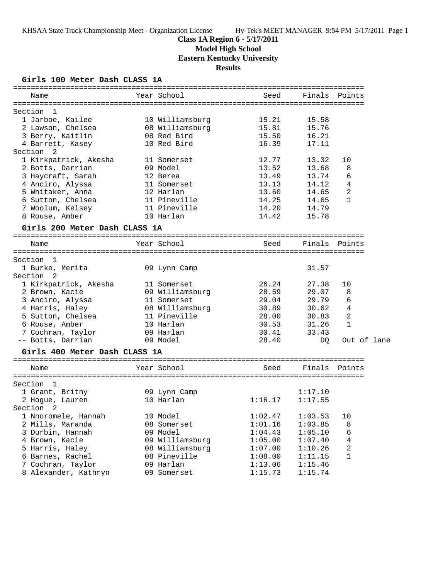# **Class 1A Region 6 - 5/17/2011**

**Model High School**

**Eastern Kentucky University**

**Results**

### **Girls 100 Meter Dash CLASS 1A**

| Name                          | Year School     | Seed    | Finals  | Points         |
|-------------------------------|-----------------|---------|---------|----------------|
| Section 1                     |                 |         |         |                |
| 1 Jarboe, Kailee              | 10 Williamsburg | 15.21   | 15.58   |                |
| 2 Lawson, Chelsea             | 08 Williamsburg | 15.81   | 15.76   |                |
| 3 Berry, Kaitlin              | 08 Red Bird     | 15.50   | 16.21   |                |
| 4 Barrett, Kasey              | 10 Red Bird     | 16.39   | 17.11   |                |
| Section 2                     |                 |         |         |                |
| 1 Kirkpatrick, Akesha         | 11 Somerset     | 12.77   | 13.32   | 10             |
| 2 Botts, Darrian              | 09 Model        | 13.52   | 13.68   | 8              |
| 3 Haycraft, Sarah             | 12 Berea        | 13.49   | 13.74   | 6              |
| 4 Anciro, Alyssa              | 11 Somerset     | 13.13   | 14.12   | 4              |
| 5 Whitaker, Anna              | 12 Harlan       | 13.60   | 14.65   | 2              |
| 6 Sutton, Chelsea             | 11 Pineville    | 14.25   | 14.65   | $\mathbf{1}$   |
| 7 Woolum, Kelsey              | 11 Pineville    | 14.20   | 14.79   |                |
| 8 Rouse, Amber                | 10 Harlan       | 14.42   | 15.78   |                |
| Girls 200 Meter Dash CLASS 1A |                 |         |         |                |
| Name                          | Year School     | Seed    | Finals  | Points         |
|                               |                 |         |         |                |
| Section 1                     |                 |         |         |                |
| 1 Burke, Merita               | 09 Lynn Camp    |         | 31.57   |                |
| Section 2                     |                 |         |         |                |
| 1 Kirkpatrick, Akesha         | 11 Somerset     | 26.24   | 27.38   | 10             |
| 2 Brown, Kacie                | 09 Williamsburg | 28.59   | 29.07   | 8              |
| 3 Anciro, Alyssa              | 11 Somerset     | 29.04   | 29.79   | 6              |
| 4 Harris, Haley               | 08 Williamsburg | 30.89   | 30.62   | $\overline{4}$ |
| 5 Sutton, Chelsea             | 11 Pineville    | 28.00   | 30.83   | 2              |
| 6 Rouse, Amber                | 10 Harlan       | 30.53   | 31.26   | 1              |
| 7 Cochran, Taylor             | 09 Harlan       | 30.41   | 33.43   |                |
| -- Botts, Darrian             | 09 Model        | 28.40   | DQ.     | Out of lane    |
| Girls 400 Meter Dash CLASS 1A |                 |         |         |                |
| Name                          | Year School     | Seed    | Finals  | Points         |
|                               |                 |         |         |                |
| Section 1                     |                 |         |         |                |
| 1 Grant, Britny               | 09 Lynn Camp    |         | 1:17.10 |                |
| 2 Hogue, Lauren               | 10 Harlan       | 1:16.17 | 1:17.55 |                |
| Section <sub>2</sub>          |                 |         |         |                |
| 1 Nnoromele, Hannah           | 10 Model        | 1:02.47 | 1:03.53 | 10             |
| 2 Mills, Maranda              | 08 Somerset     | 1:01.16 | 1:03.85 | 8              |
| 3 Durbin, Hannah              | 09 Model        | 1:04.43 | 1:05.10 | 6              |
| 4 Brown, Kacie                | 09 Williamsburg | 1:05.00 | 1:07.40 | 4              |
| 5 Harris, Haley               | 08 Williamsburg | 1:07.00 | 1:10.26 | 2              |
| 6 Barnes, Rachel              | 08 Pineville    | 1:08.00 | 1:11.15 | 1              |
| 7 Cochran, Taylor             | 09 Harlan       | 1:13.06 | 1:15.46 |                |
| 8 Alexander, Kathryn          | 09 Somerset     | 1:15.73 | 1:15.74 |                |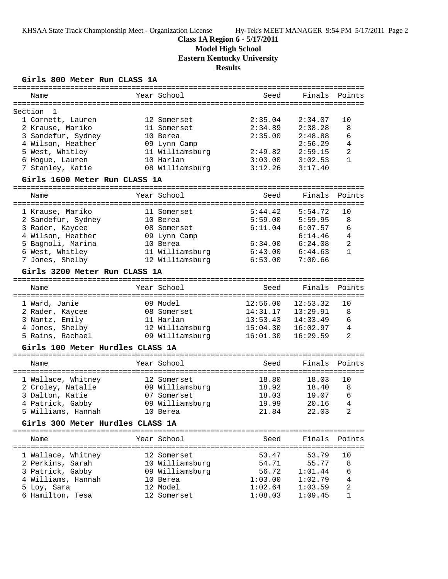# **Class 1A Region 6 - 5/17/2011**

**Model High School**

**Eastern Kentucky University**

**Results**

### **Girls 800 Meter Run CLASS 1A**

| Name                                   |  | Year School              | Seed     | Finals   | Points         |  |  |  |
|----------------------------------------|--|--------------------------|----------|----------|----------------|--|--|--|
|                                        |  |                          |          |          |                |  |  |  |
| Section<br>1                           |  |                          |          |          |                |  |  |  |
| 1 Cornett, Lauren                      |  | 12 Somerset              | 2:35.04  | 2:34.07  | 10             |  |  |  |
| 2 Krause, Mariko                       |  | 11 Somerset              | 2:34.89  | 2:38.28  | 8              |  |  |  |
| 3 Sandefur, Sydney                     |  | 10 Berea                 | 2:35.00  | 2:48.88  | 6              |  |  |  |
| 4 Wilson, Heather                      |  | 09 Lynn Camp             |          | 2:56.29  | 4              |  |  |  |
| 5 West, Whitley                        |  | 11 Williamsburg          | 2:49.82  | 2:59.15  | 2              |  |  |  |
| 6 Hogue, Lauren                        |  | 10 Harlan                | 3:03.00  | 3:02.53  | $\mathbf{1}$   |  |  |  |
| 7 Stanley, Katie                       |  | 08 Williamsburg          | 3:12.26  | 3:17.40  |                |  |  |  |
| Girls 1600 Meter Run CLASS 1A          |  |                          |          |          |                |  |  |  |
| Name                                   |  | Year School              | Seed     | Finals   | Points         |  |  |  |
| 1 Krause, Mariko                       |  | 11 Somerset              | 5:44.42  | 5:54.72  | 10             |  |  |  |
| 2 Sandefur, Sydney                     |  | 10 Berea                 | 5:59.00  | 5:59.95  | 8              |  |  |  |
| 3 Rader, Kaycee                        |  | 08 Somerset              | 6:11.04  | 6:07.57  | 6              |  |  |  |
| 4 Wilson, Heather                      |  |                          |          | 6:14.46  | 4              |  |  |  |
| 5 Bagnoli, Marina                      |  | 09 Lynn Camp<br>10 Berea | 6:34.00  | 6:24.08  | $\overline{2}$ |  |  |  |
| 6 West, Whitley                        |  | 11 Williamsburg          | 6:43.00  | 6:44.63  | $\mathbf{1}$   |  |  |  |
| 7 Jones, Shelby                        |  | 12 Williamsburg          | 6:53.00  | 7:00.66  |                |  |  |  |
|                                        |  |                          |          |          |                |  |  |  |
| Girls 3200 Meter Run CLASS 1A          |  |                          |          |          |                |  |  |  |
| Name                                   |  | Year School              | Seed     | Finals   | Points         |  |  |  |
| 1 Ward, Janie                          |  | 09 Model                 | 12:56.00 | 12:53.32 | 10             |  |  |  |
| 2 Rader, Kaycee                        |  | 08 Somerset              | 14:31.17 | 13:29.91 | 8              |  |  |  |
| 3 Nantz, Emily                         |  | 11 Harlan                | 13:53.43 | 14:33.49 | 6              |  |  |  |
| 4 Jones, Shelby                        |  | 12 Williamsburg          | 15:04.30 | 16:02.97 | 4              |  |  |  |
| 5 Rains, Rachael                       |  | 09 Williamsburg          | 16:01.30 | 16:29.59 | 2              |  |  |  |
| Girls 100 Meter Hurdles CLASS 1A       |  |                          |          |          |                |  |  |  |
| Name                                   |  | Year School              | Seed     | Finals   | Points         |  |  |  |
|                                        |  |                          |          |          |                |  |  |  |
| 1 Wallace, Whitney                     |  | 12 Somerset              | 18.80    | 18.03    | 10             |  |  |  |
| 2 Croley, Natalie                      |  | 09 Williamsburg          | 18.92    | 18.40    | 8              |  |  |  |
| 3 Dalton, Katie                        |  | 07 Somerset              | 18.03    | 19.07    | 6              |  |  |  |
| 4 Patrick, Gabby                       |  | 09 Williamsburg          | 19.99    | 20.16    | 4              |  |  |  |
| 5 Williams, Hannah                     |  | 10 Berea                 | 21.84    | 22.03    | $\mathfrak{D}$ |  |  |  |
| Girls 300 Meter Hurdles CLASS 1A       |  |                          |          |          |                |  |  |  |
|                                        |  |                          |          |          |                |  |  |  |
| Name                                   |  | Year School              | Seed     | Finals   | Points         |  |  |  |
| 1 Wallace, Whitney                     |  | 12 Somerset              | 53.47    | 53.79    | 10             |  |  |  |
| 2 Perkins, Sarah                       |  | 10 Williamsburg          | 54.71    | 55.77    | 8              |  |  |  |
|                                        |  |                          |          |          |                |  |  |  |
|                                        |  | 09 Williamsburg          | 56.72    | 1:01.44  | 6              |  |  |  |
| 3 Patrick, Gabby<br>4 Williams, Hannah |  | 10 Berea                 | 1:03.00  | 1:02.79  | 4              |  |  |  |
| 5 Loy, Sara                            |  | 12 Model                 | 1:02.64  | 1:03.59  | $\overline{2}$ |  |  |  |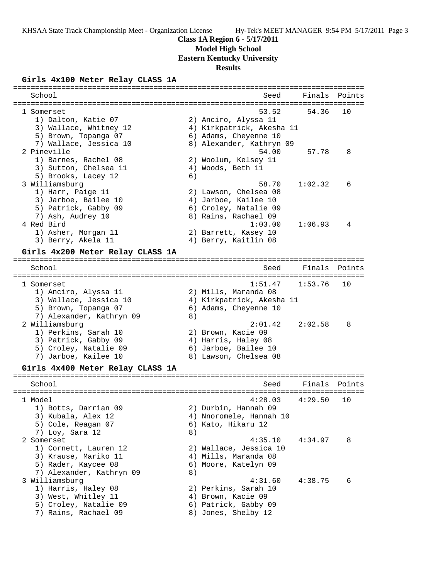# **Class 1A Region 6 - 5/17/2011**

# **Model High School**

**Eastern Kentucky University**

# **Results**

### **Girls 4x100 Meter Relay CLASS 1A**

| School                           |    | Seed                      | Finals  | Points |
|----------------------------------|----|---------------------------|---------|--------|
| --------------                   |    |                           |         |        |
| 1 Somerset                       |    | 53.52                     | 54.36   | 10     |
| 1) Dalton, Katie 07              |    | 2) Anciro, Alyssa 11      |         |        |
| 3) Wallace, Whitney 12           |    | 4) Kirkpatrick, Akesha 11 |         |        |
| 5) Brown, Topanga 07             |    | 6) Adams, Cheyenne 10     |         |        |
| 7) Wallace, Jessica 10           |    | 8) Alexander, Kathryn 09  |         |        |
| 2 Pineville                      |    | 54.00                     | 57.78   | 8      |
| 1) Barnes, Rachel 08             |    | 2) Woolum, Kelsey 11      |         |        |
| 3) Sutton, Chelsea 11            |    | 4) Woods, Beth 11         |         |        |
| 5) Brooks, Lacey 12              | 6) |                           |         |        |
| 3 Williamsburg                   |    | 58.70                     | 1:02.32 | 6      |
| 1) Harr, Paige 11                |    | 2) Lawson, Chelsea 08     |         |        |
| 3) Jarboe, Bailee 10             |    | 4) Jarboe, Kailee 10      |         |        |
| 5) Patrick, Gabby 09             |    | 6) Croley, Natalie 09     |         |        |
| 7) Ash, Audrey 10                |    | 8) Rains, Rachael 09      |         |        |
| 4 Red Bird                       |    | 1:03.00                   | 1:06.93 | 4      |
| 1) Asher, Morgan 11              |    | 2) Barrett, Kasey 10      |         |        |
| 3) Berry, Akela 11               |    | 4) Berry, Kaitlin 08      |         |        |
|                                  |    |                           |         |        |
| Girls 4x200 Meter Relay CLASS 1A |    |                           |         |        |
| School                           |    | Seed                      | Finals  | Points |
| __________________________       |    |                           | ------- |        |
| 1 Somerset                       |    | 1:51.47                   | 1:53.76 | 10     |
| 1) Anciro, Alyssa 11             |    | 2) Mills, Maranda 08      |         |        |
| 3) Wallace, Jessica 10           |    | 4) Kirkpatrick, Akesha 11 |         |        |
| 5) Brown, Topanga 07             |    | 6) Adams, Cheyenne 10     |         |        |
| 7) Alexander, Kathryn 09         | 8) |                           |         |        |
| 2 Williamsburg                   |    | 2:01.42                   | 2:02.58 | 8      |
| 1) Perkins, Sarah 10             |    | 2) Brown, Kacie 09        |         |        |
| 3) Patrick, Gabby 09             |    | 4) Harris, Haley 08       |         |        |
|                                  |    |                           |         |        |
| 5) Croley, Natalie 09            |    | 6) Jarboe, Bailee 10      |         |        |
| 7) Jarboe, Kailee 10             |    | 8) Lawson, Chelsea 08     |         |        |
| Girls 4x400 Meter Relay CLASS 1A |    |                           |         |        |
| School                           |    | Seed                      | Finals  | Points |
|                                  |    |                           |         |        |
| 1 Model                          |    | 4:28.03                   | 4:29.50 | 10     |
| 1) Botts, Darrian 09             |    | 2) Durbin, Hannah 09      |         |        |
| 3) Kubala, Alex 12               |    | 4) Nnoromele, Hannah 10   |         |        |
| 5) Cole, Reagan 07               |    | 6) Kato, Hikaru 12        |         |        |
| 7) Loy, Sara 12                  | 8) |                           |         |        |
|                                  |    |                           |         |        |
| 2 Somerset                       |    | 4:35.10                   | 4:34.97 | 8      |
| 1) Cornett, Lauren 12            |    | 2) Wallace, Jessica 10    |         |        |
| 3) Krause, Mariko 11             |    | 4) Mills, Maranda 08      |         |        |
| 5) Rader, Kaycee 08              |    | 6) Moore, Katelyn 09      |         |        |
| 7) Alexander, Kathryn 09         | 8) |                           |         |        |
| 3 Williamsburg                   |    | 4:31.60                   | 4:38.75 | 6      |
| 1) Harris, Haley 08              |    | 2) Perkins, Sarah 10      |         |        |
| 3) West, Whitley 11              |    | 4) Brown, Kacie 09        |         |        |
| 5) Croley, Natalie 09            |    | 6) Patrick, Gabby 09      |         |        |
| 7) Rains, Rachael 09             |    | 8) Jones, Shelby 12       |         |        |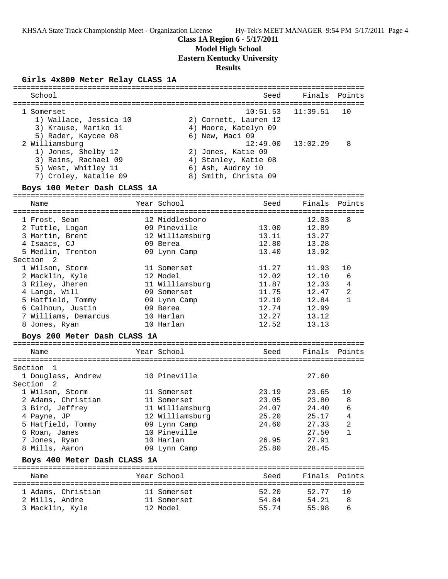#### **Class 1A Region 6 - 5/17/2011**

#### **Model High School**

**Eastern Kentucky University**

#### **Results**

#### **Girls 4x800 Meter Relay CLASS 1A**

| School                                                                                                | Seed                                                                                    | Finals Points                                  |         |
|-------------------------------------------------------------------------------------------------------|-----------------------------------------------------------------------------------------|------------------------------------------------|---------|
| 1 Somerset<br>1) Wallace, Jessica 10<br>3) Krause, Mariko 11<br>5) Rader, Kaycee 08<br>2 Williamsburg | 2) Cornett, Lauren 12<br>4) Moore, Katelyn 09<br>6) New, Maci 09                        | $10:51.53$ $11:39.51$<br>$12:49.00$ $13:02.29$ | 10<br>8 |
| 1) Jones, Shelby 12<br>3) Rains, Rachael 09<br>5) West, Whitley 11<br>7) Croley, Natalie 09           | 2) Jones, Katie 09<br>4) Stanley, Katie 08<br>6) Ash, Audrey 10<br>8) Smith, Christa 09 |                                                |         |

#### **Boys 100 Meter Dash CLASS 1A**

================================================================================ Name The Year School Seed Finals Points ================================================================================ 1 Frost, Sean 12 Middlesboro 12.03 8 2 Tuttle, Logan 09 Pineville 13.00 12.89 3 Martin, Brent 12 Williamsburg 13.11 13.27 4 Isaacs, CJ 09 Berea 12.80 13.28 5 Medlin, Trenton 09 Lynn Camp 13.40 13.92 Section 2 1 Wilson, Storm 11 Somerset 11.27 11.93 10 2 Macklin, Kyle 12 Model 12.02 12.10 6 3 Riley, Jheren 11 Williamsburg 11.87 12.33 4 4 Lange, Will 09 Somerset 11.75 12.47 2 5 Hatfield, Tommy 09 Lynn Camp 12.10 12.84 1 6 Calhoun, Justin 09 Berea 12.74 12.99 7 Williams, Demarcus 10 Harlan 12.27 13.12 8 Jones, Ryan 10 Harlan 12.52 13.13 **Boys 200 Meter Dash CLASS 1A**

| Name               | Year School     | Seed  | Finals Points |                |
|--------------------|-----------------|-------|---------------|----------------|
|                    |                 |       |               |                |
| Section            |                 |       |               |                |
| 1 Douglass, Andrew | 10 Pineville    |       | 27.60         |                |
| Section<br>- 2     |                 |       |               |                |
| 1 Wilson, Storm    | 11 Somerset     | 23.19 | 23.65         | 10             |
| 2 Adams, Christian | 11 Somerset     | 23.05 | 23.80         | 8              |
| 3 Bird, Jeffrey    | 11 Williamsburg | 24.07 | 24.40         | 6              |
| 4 Payne, JP        | 12 Williamsburg | 25.20 | 25.17         | 4              |
| 5 Hatfield, Tommy  | 09 Lynn Camp    | 24.60 | 27.33         | $\overline{2}$ |
| 6 Roan, James      | 10 Pineville    |       | 27.50         |                |
| 7 Jones, Ryan      | 10 Harlan       | 26.95 | 27.91         |                |
| 8 Mills, Aaron     | 09 Lynn Camp    | 25.80 | 28.45         |                |

#### **Boys 400 Meter Dash CLASS 1A**

| Name                                                    | Year School                            | Seed                    | Finals Points           |            |
|---------------------------------------------------------|----------------------------------------|-------------------------|-------------------------|------------|
| 1 Adams, Christian<br>2 Mills, Andre<br>3 Macklin, Kyle | 11 Somerset<br>11 Somerset<br>12 Model | 52.20<br>54.84<br>55.74 | 52.77<br>54.21<br>55.98 | - 1 O<br>8 |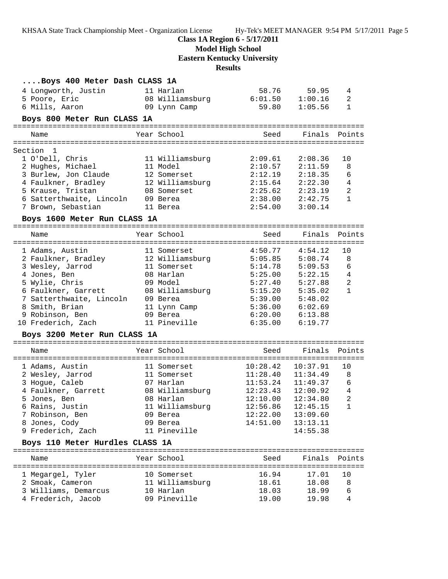**Class 1A Region 6 - 5/17/2011**

**Model High School**

**Eastern Kentucky University**

# **Results**

| Boys 400 Meter Dash CLASS 1A               |                           |                |                |                |
|--------------------------------------------|---------------------------|----------------|----------------|----------------|
| 4 Longworth, Justin                        | 11 Harlan                 |                | 58.76 59.95    | 4              |
| 5 Poore, Eric                              | 08 Williamsburg           | 6:01.50        | 1:00.16        | 2              |
| 6 Mills, Aaron                             | 09 Lynn Camp              | 59.80          | 1:05.56        | $\mathbf{1}$   |
| Boys 800 Meter Run CLASS 1A                |                           |                |                |                |
|                                            |                           |                |                |                |
| Name                                       | Year School               | Seed           | Finals         | Points         |
| Section<br>1                               |                           |                |                |                |
| 1 O'Dell, Chris                            | 11 Williamsburg           | 2:09.61        | 2:08.36        | 10             |
| 2 Hughes, Michael                          | 11 Model                  | 2:10.57        | 2:11.59        | 8              |
| 3 Burlew, Jon Claude                       | 12 Somerset               | 2:12.19        | 2:18.35        | 6              |
| 4 Faulkner, Bradley                        | 12 Williamsburg           | 2:15.64        | 2:22.30        | 4              |
| 5 Krause, Tristan                          | 08 Somerset               | 2:25.62        | 2:23.19        | $\overline{a}$ |
| 6 Satterthwaite, Lincoln                   | 09 Berea                  | 2:38.00        | 2:42.75        | $\mathbf{1}$   |
| 7 Brown, Sebastian                         | 11 Berea                  | 2:54.00        | 3:00.14        |                |
| Boys 1600 Meter Run CLASS 1A               |                           |                |                |                |
| Name                                       | Year School               | Seed           | Finals         | Points         |
|                                            |                           |                |                |                |
| 1 Adams, Austin                            | 11 Somerset               | 4:50.77        | 4:54.12        | 10             |
| 2 Faulkner, Bradley                        | 12 Williamsburg           | 5:05.85        | 5:08.74        | 8              |
| 3 Wesley, Jarrod                           | 11 Somerset               | 5:14.78        | 5:09.53        | 6              |
| 4 Jones, Ben                               | 08 Harlan                 | 5:25.00        | 5:22.15        | 4              |
| 5 Wylie, Chris                             | 09 Model                  | 5:27.40        | 5:27.88        | $\overline{a}$ |
| 6 Faulkner, Garrett                        | 08 Williamsburg           | 5:15.20        | 5:35.02        | $\mathbf{1}$   |
| 7 Satterthwaite, Lincoln                   | 09 Berea                  | 5:39.00        | 5:48.02        |                |
| 8 Smith, Brian                             | 11 Lynn Camp              | 5:36.00        | 6:02.69        |                |
| 9 Robinson, Ben                            | 09 Berea                  | 6:20.00        | 6:13.88        |                |
| 10 Frederich, Zach                         | 11 Pineville              | 6:35.00        | 6:19.77        |                |
| Boys 3200 Meter Run CLASS 1A               |                           |                |                |                |
| Name                                       | Year School               | Seed           | Finals         | Points         |
|                                            |                           |                |                |                |
| 1 Adams, Austin                            | 11 Somerset               | 10:28.42       | 10:37.91       | 10             |
| 2 Wesley, Jarrod                           | 11 Somerset               | 11:28.40       | 11:34.49       | 8              |
| 3 Hogue, Caleb                             | 07 Harlan                 | 11:53.24       | 11:49.37       | 6              |
| 4 Faulkner, Garrett                        | 08 Williamsburg           | 12:23.43       | 12:00.92       | $\overline{4}$ |
| 5 Jones, Ben                               | 08 Harlan                 | 12:10.00       | 12:34.80       | 2              |
| 6 Rains, Justin                            | 11 Williamsburg           | 12:56.86       | 12:45.15       | 1              |
| 7 Robinson, Ben                            | 09 Berea                  | 12:22.00       | 13:09.60       |                |
| 8 Jones, Cody                              | 09 Berea                  | 14:51.00       | 13:13.11       |                |
| 9 Frederich, Zach                          | 11 Pineville              |                | 14:55.38       |                |
| Boys 110 Meter Hurdles CLASS 1A            |                           |                |                |                |
| Name                                       | Year School               | Seed           | Finals         | Points         |
|                                            |                           |                |                |                |
| 1 Megargel, Tyler                          | 10 Somerset               | 16.94          | 17.01          | 10             |
| 2 Smoak, Cameron                           | 11 Williamsburg           | 18.61          | 18.08          | 8              |
| 3 Williams, Demarcus<br>4 Frederich, Jacob | 10 Harlan<br>09 Pineville | 18.03<br>19.00 | 18.99<br>19.98 | 6<br>4         |
|                                            |                           |                |                |                |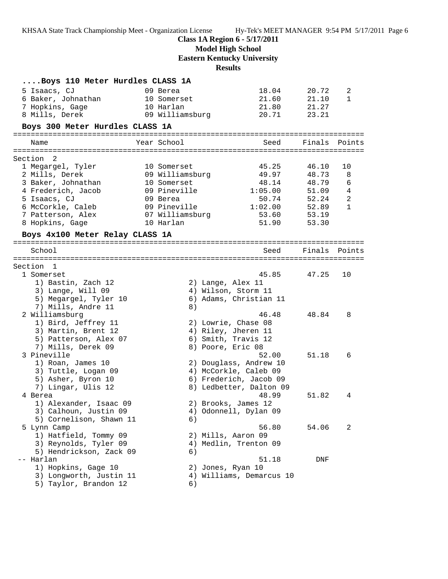**Class 1A Region 6 - 5/17/2011**

**Model High School**

**Eastern Kentucky University**

**Results**

| Boys 110 Meter Hurdles CLASS 1A |                 |                          |               |              |
|---------------------------------|-----------------|--------------------------|---------------|--------------|
| 5 Isaacs, CJ                    | 09 Berea        | 18.04                    | 20.72         | 2            |
| 6 Baker, Johnathan              | 10 Somerset     | 21.60                    | 21.10         | $\mathbf{1}$ |
| 7 Hopkins, Gage                 | 10 Harlan       | 21.80                    | 21.27         |              |
| 8 Mills, Derek                  | 09 Williamsburg | 20.71                    | 23.21         |              |
| Boys 300 Meter Hurdles CLASS 1A |                 |                          |               |              |
|                                 |                 |                          |               |              |
| Name                            | Year School     | Seed                     | Finals Points |              |
|                                 |                 |                          |               |              |
| Section<br>2                    |                 |                          |               |              |
| 1 Megargel, Tyler               | 10 Somerset     | 45.25                    | 46.10         | 10           |
| 2 Mills, Derek                  | 09 Williamsburg | 49.97                    | 48.73         | 8            |
| 3 Baker, Johnathan              | 10 Somerset     | 48.14                    | 48.79         | 6            |
| 4 Frederich, Jacob              | 09 Pineville    | 1:05.00                  | 51.09         | 4            |
| 5 Isaacs, CJ                    | 09 Berea        | 50.74                    | 52.24         | $\sqrt{2}$   |
| 6 McCorkle, Caleb               | 09 Pineville    | 1:02.00                  | 52.89         | $\mathbf{1}$ |
| 7 Patterson, Alex               | 07 Williamsburg | 53.60                    | 53.19         |              |
| 8 Hopkins, Gage                 | 10 Harlan       | 51.90                    | 53.30         |              |
| Boys 4x100 Meter Relay CLASS 1A |                 |                          |               |              |
|                                 |                 |                          |               |              |
| School                          |                 | Seed                     | Finals        | Points       |
|                                 |                 |                          |               |              |
| Section 1                       |                 |                          |               |              |
| 1 Somerset                      |                 | 45.85                    | 47.25         | 10           |
| 1) Bastin, Zach 12              |                 | 2) Lange, Alex 11        |               |              |
| 3) Lange, Will 09               |                 | 4) Wilson, Storm 11      |               |              |
| 5) Megargel, Tyler 10           |                 | 6) Adams, Christian 11   |               |              |
| 7) Mills, Andre 11              | 8)              |                          |               |              |
| 2 Williamsburg                  |                 | 46.48                    | 48.84         | 8            |
| 1) Bird, Jeffrey 11             |                 | 2) Lowrie, Chase 08      |               |              |
| 3) Martin, Brent 12             |                 | 4) Riley, Jheren 11      |               |              |
| 5) Patterson, Alex 07           |                 | 6) Smith, Travis 12      |               |              |
| 7) Mills, Derek 09              |                 | 8) Poore, Eric 08        |               |              |
| 3 Pineville                     |                 | 52.00                    | 51.18         | 6            |
| 1) Roan, James 10               |                 | 2) Douglass, Andrew 10   |               |              |
| 3) Tuttle, Logan 09             |                 | 4) McCorkle, Caleb 09    |               |              |
| 5) Asher, Byron 10              |                 | 6) Frederich, Jacob 09   |               |              |
| 7) Lingar, Ulis 12              |                 | 8) Ledbetter, Dalton 09  |               |              |
| 4 Berea                         |                 | 48.99                    | 51.82         | 4            |
| 1) Alexander, Isaac 09          |                 | 2) Brooks, James 12      |               |              |
| 3) Calhoun, Justin 09           |                 | 4) Odonnell, Dylan 09    |               |              |
| 5) Cornelison, Shawn 11         | 6)              |                          |               |              |
| 5 Lynn Camp                     |                 | 56.80                    | 54.06         | 2            |
| 1) Hatfield, Tommy 09           |                 | 2) Mills, Aaron 09       |               |              |
| 3) Reynolds, Tyler 09           |                 | 4) Medlin, Trenton 09    |               |              |
| 5) Hendrickson, Zack 09         | 6)              |                          |               |              |
| -- Harlan                       |                 | 51.18                    | DNF           |              |
| 1) Hopkins, Gage 10             |                 | 2) Jones, Ryan 10        |               |              |
| 3) Longworth, Justin 11         |                 | 4) Williams, Demarcus 10 |               |              |
| 5) Taylor, Brandon 12           | 6)              |                          |               |              |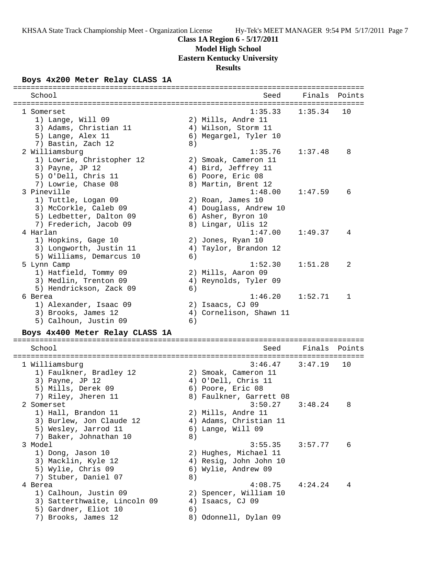### **Class 1A Region 6 - 5/17/2011**

**Model High School**

**Eastern Kentucky University**

### **Results**

### **Boys 4x200 Meter Relay CLASS 1A**

| =================<br>================== |    |                                   |         |        |
|-----------------------------------------|----|-----------------------------------|---------|--------|
| School                                  |    | Seed                              | Finals  | Points |
|                                         |    |                                   |         |        |
| 1 Somerset                              |    | 1:35.33                           | 1:35.34 | 10     |
| 1) Lange, Will 09                       |    | 2) Mills, Andre 11                |         |        |
| 3) Adams, Christian 11                  |    | 4) Wilson, Storm 11               |         |        |
| 5) Lange, Alex 11                       |    | 6) Megargel, Tyler 10             |         |        |
| 7) Bastin, Zach 12                      | 8) |                                   |         |        |
| 2 Williamsburg                          |    | 1:35.76                           | 1:37.48 | 8      |
| 1) Lowrie, Christopher 12               |    | 2) Smoak, Cameron 11              |         |        |
| 3) Payne, JP 12                         |    | 4) Bird, Jeffrey 11               |         |        |
| 5) O'Dell, Chris 11                     |    | 6) Poore, Eric 08                 |         |        |
| 7) Lowrie, Chase 08<br>3 Pineville      |    | 8) Martin, Brent 12<br>1:48.00    |         | 6      |
|                                         |    |                                   | 1:47.59 |        |
| 1) Tuttle, Logan 09                     |    | 2) Roan, James 10                 |         |        |
| 3) McCorkle, Caleb 09                   |    | 4) Douglass, Andrew 10            |         |        |
| 5) Ledbetter, Dalton 09                 |    | 6) Asher, Byron 10                |         |        |
| 7) Frederich, Jacob 09<br>4 Harlan      |    | 8) Lingar, Ulis 12                |         |        |
|                                         |    | 1:47.00                           | 1:49.37 | 4      |
| 1) Hopkins, Gage 10                     |    | 2) Jones, Ryan 10                 |         |        |
| 3) Longworth, Justin 11                 |    | 4) Taylor, Brandon 12             |         |        |
| 5) Williams, Demarcus 10                | 6) |                                   |         |        |
| 5 Lynn Camp                             |    | 1:52.30                           | 1:51.28 | 2      |
| 1) Hatfield, Tommy 09                   |    | 2) Mills, Aaron 09                |         |        |
| 3) Medlin, Trenton 09                   |    | 4) Reynolds, Tyler 09             |         |        |
| 5) Hendrickson, Zack 09                 | 6) | 1:46.20                           |         |        |
| 6 Berea                                 |    |                                   | 1:52.71 | 1      |
| 1) Alexander, Isaac 09                  |    | 2) Isaacs, CJ 09                  |         |        |
| 3) Brooks, James 12                     |    | 4) Cornelison, Shawn 11           |         |        |
| 5) Calhoun, Justin 09                   | 6) |                                   |         |        |
| Boys 4x400 Meter Relay CLASS 1A         |    |                                   |         |        |
| School                                  |    | Seed                              | Finals  | Points |
|                                         |    | --------------------------------- |         |        |
| 1 Williamsburg                          |    | 3:46.47                           | 3:47.19 | 10     |
| 1) Faulkner, Bradley 12                 |    | 2) Smoak, Cameron 11              |         |        |
| 3) Payne, JP 12                         |    | 4) O'Dell, Chris 11               |         |        |
| 5) Mills, Derek 09                      |    | 6) Poore, Eric 08                 |         |        |
| 7) Riley, Jheren 11                     |    | 8) Faulkner, Garrett 08           |         |        |
| 2 Somerset                              |    | 3:50.27                           | 3:48.24 | 8      |
| 1) Hall, Brandon 11                     |    | 2) Mills, Andre 11                |         |        |
| 3) Burlew, Jon Claude 12                |    | 4) Adams, Christian 11            |         |        |
| 5) Wesley, Jarrod 11                    |    | 6) Lange, Will 09                 |         |        |
| 7) Baker, Johnathan 10                  | 8) |                                   |         |        |
| 3 Model                                 |    | 3:55.35                           | 3:57.77 | 6      |
| 1) Dong, Jason 10                       |    | 2) Hughes, Michael 11             |         |        |
| 3) Macklin, Kyle 12                     |    | 4) Resig, John John 10            |         |        |
| 5) Wylie, Chris 09                      |    | 6) Wylie, Andrew 09               |         |        |
| 7) Stuber, Daniel 07                    | 8) |                                   |         |        |
| 4 Berea                                 |    | 4:08.75                           | 4:24.24 | 4      |
| 1) Calhoun, Justin 09                   |    | 2) Spencer, William 10            |         |        |

3) Satterthwaite, Lincoln 09 4) Isaacs, CJ 09

1)<br>
5) Gardner, Eliot 10 (6)<br>
7) Brooks, James 12 (8) Odonnell, Dylan 09

5) Gardner, Eliot 10 (6)